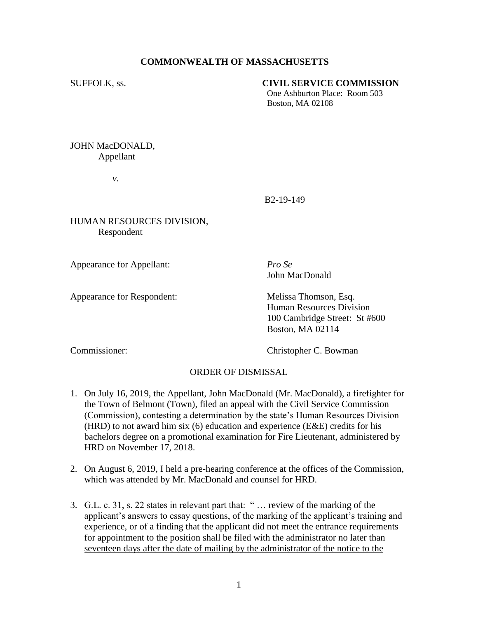## **COMMONWEALTH OF MASSACHUSETTS**

## SUFFOLK, ss. **CIVIL SERVICE COMMISSION**

One Ashburton Place: Room 503 Boston, MA 02108

JOHN MacDONALD, Appellant

*v.*

B2-19-149

HUMAN RESOURCES DIVISION, Respondent

Appearance for Appellant: *Pro Se*

John MacDonald

Appearance for Respondent: Melissa Thomson, Esq. Human Resources Division 100 Cambridge Street: St #600 Boston, MA 02114

Commissioner: Christopher C. Bowman

## ORDER OF DISMISSAL

- 1. On July 16, 2019, the Appellant, John MacDonald (Mr. MacDonald), a firefighter for the Town of Belmont (Town), filed an appeal with the Civil Service Commission (Commission), contesting a determination by the state's Human Resources Division (HRD) to not award him six (6) education and experience (E&E) credits for his bachelors degree on a promotional examination for Fire Lieutenant, administered by HRD on November 17, 2018.
- 2. On August 6, 2019, I held a pre-hearing conference at the offices of the Commission, which was attended by Mr. MacDonald and counsel for HRD.
- 3. G.L. c. 31, s. 22 states in relevant part that: " … review of the marking of the applicant's answers to essay questions, of the marking of the applicant's training and experience, or of a finding that the applicant did not meet the entrance requirements for appointment to the position shall be filed with the administrator no later than seventeen days after the date of mailing by the administrator of the notice to the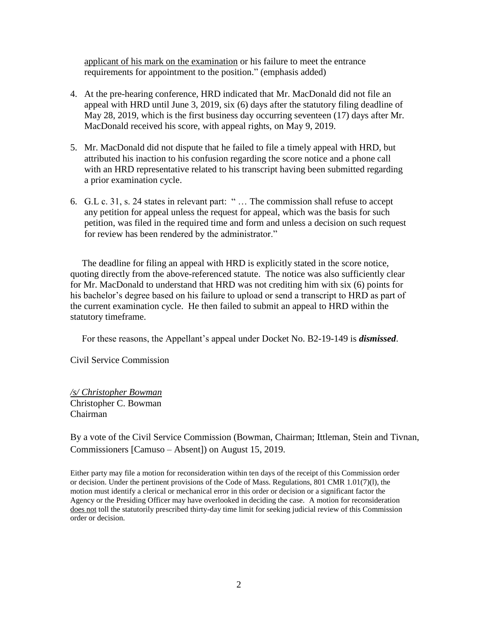applicant of his mark on the examination or his failure to meet the entrance requirements for appointment to the position." (emphasis added)

- 4. At the pre-hearing conference, HRD indicated that Mr. MacDonald did not file an appeal with HRD until June 3, 2019, six (6) days after the statutory filing deadline of May 28, 2019, which is the first business day occurring seventeen (17) days after Mr. MacDonald received his score, with appeal rights, on May 9, 2019.
- 5. Mr. MacDonald did not dispute that he failed to file a timely appeal with HRD, but attributed his inaction to his confusion regarding the score notice and a phone call with an HRD representative related to his transcript having been submitted regarding a prior examination cycle.
- 6. G.L c. 31, s. 24 states in relevant part: " … The commission shall refuse to accept any petition for appeal unless the request for appeal, which was the basis for such petition, was filed in the required time and form and unless a decision on such request for review has been rendered by the administrator."

 The deadline for filing an appeal with HRD is explicitly stated in the score notice, quoting directly from the above-referenced statute. The notice was also sufficiently clear for Mr. MacDonald to understand that HRD was not crediting him with six (6) points for his bachelor's degree based on his failure to upload or send a transcript to HRD as part of the current examination cycle. He then failed to submit an appeal to HRD within the statutory timeframe.

For these reasons, the Appellant's appeal under Docket No. B2-19-149 is *dismissed*.

Civil Service Commission

*/s/ Christopher Bowman* Christopher C. Bowman Chairman

By a vote of the Civil Service Commission (Bowman, Chairman; Ittleman, Stein and Tivnan, Commissioners [Camuso – Absent]) on August 15, 2019.

Either party may file a motion for reconsideration within ten days of the receipt of this Commission order or decision. Under the pertinent provisions of the Code of Mass. Regulations, 801 CMR 1.01(7)(l), the motion must identify a clerical or mechanical error in this order or decision or a significant factor the Agency or the Presiding Officer may have overlooked in deciding the case. A motion for reconsideration does not toll the statutorily prescribed thirty-day time limit for seeking judicial review of this Commission order or decision.